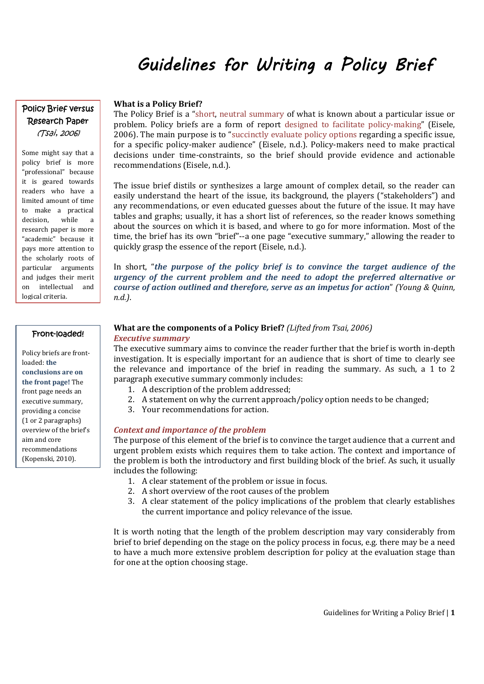# Guidelines for Writing a Policy Brief

## Policy Brief versus Research Paper (Tsai, 2006)

Some might say that a policy brief is more "professional" because it is geared towards readers who have a limited amount of time to make a practical decision, while a research paper is more "academic" because it pays more attention to the scholarly roots of particular arguments and judges their merit on intellectual and logical criteria.

## Front-loaded!

Policy briefs are frontloaded: **the conclusions are on the front page!** The front page needs an executive summary, providing a concise (1 or 2 paragraphs) overview of the brief's aim and core recommendations (Kopenski, 2010).

#### **What is a Policy Brief?**

The Policy Brief is a "short, neutral summary of what is known about a particular issue or problem. Policy briefs are a form of report designed to facilitate policy-making" (Eisele, 2006). The main purpose is to "succinctly evaluate policy options regarding a specific issue, for a specific policy-maker audience" (Eisele, n.d.). Policy-makers need to make practical decisions under time-constraints, so the brief should provide evidence and actionable recommendations (Eisele, n.d.).

The issue brief distils or synthesizes a large amount of complex detail, so the reader can easily understand the heart of the issue, its background, the players ("stakeholders") and any recommendations, or even educated guesses about the future of the issue. It may have tables and graphs; usually, it has a short list of references, so the reader knows something about the sources on which it is based, and where to go for more information. Most of the time, the brief has its own "brief"--a one page "executive summary," allowing the reader to quickly grasp the essence of the report (Eisele, n.d.).

In short, "*the purpose of the policy brief is to convince the target audience of the urgency of the current problem and the need to adopt the preferred alternative or course of action outlined and therefore, serve as an impetus for action*" *(Young & Quinn, n.d.)*.

#### **What are the components of a Policy Brief?** *(Lifted from Tsai, 2006) Executive summary*

The executive summary aims to convince the reader further that the brief is worth in-depth investigation. It is especially important for an audience that is short of time to clearly see the relevance and importance of the brief in reading the summary. As such, a 1 to 2 paragraph executive summary commonly includes:

- 1. A description of the problem addressed;
- 2. A statement on why the current approach/policy option needs to be changed;
- 3. Your recommendations for action.

#### *Context and importance of the problem*

The purpose of this element of the brief is to convince the target audience that a current and urgent problem exists which requires them to take action. The context and importance of the problem is both the introductory and first building block of the brief. As such, it usually includes the following:

- 1. A clear statement of the problem or issue in focus.
- 2. A short overview of the root causes of the problem
- 3. A clear statement of the policy implications of the problem that clearly establishes the current importance and policy relevance of the issue.

It is worth noting that the length of the problem description may vary considerably from brief to brief depending on the stage on the policy process in focus, e.g. there may be a need to have a much more extensive problem description for policy at the evaluation stage than for one at the option choosing stage.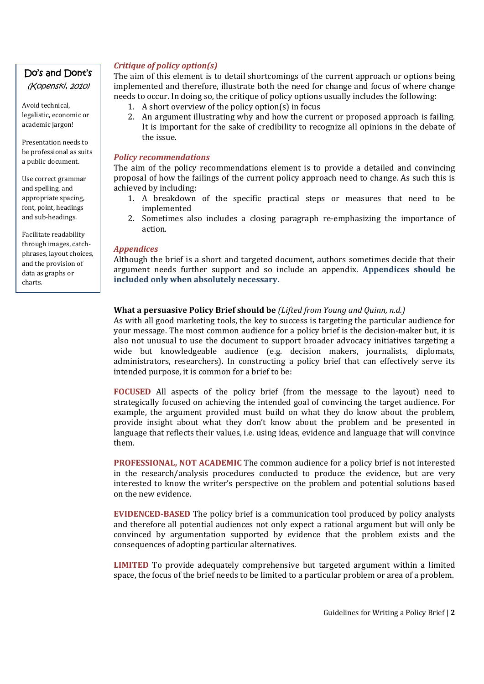# Do's and Dont's

(Kopenski, 2010)

Avoid technical, legalistic, economic or academic jargon!

Presentation needs to be professional as suits a public document.

Use correct grammar and spelling, and appropriate spacing, font, point, headings and sub-headings.

Facilitate readability through images, catchphrases, layout choices, and the provision of data as graphs or charts.

## *Critique of policy option(s)*

The aim of this element is to detail shortcomings of the current approach or options being implemented and therefore, illustrate both the need for change and focus of where change needs to occur. In doing so, the critique of policy options usually includes the following:

- 1. A short overview of the policy option(s) in focus
- 2. An argument illustrating why and how the current or proposed approach is failing. It is important for the sake of credibility to recognize all opinions in the debate of the issue.

#### *Policy recommendations*

The aim of the policy recommendations element is to provide a detailed and convincing proposal of how the failings of the current policy approach need to change. As such this is achieved by including:

- 1. A breakdown of the specific practical steps or measures that need to be implemented
- 2. Sometimes also includes a closing paragraph re-emphasizing the importance of action.

## *Appendices*

Although the brief is a short and targeted document, authors sometimes decide that their argument needs further support and so include an appendix. **Appendices should be included only when absolutely necessary.** 

## **What a persuasive Policy Brief should be** *(Lifted from Young and Quinn, n.d.)*

As with all good marketing tools, the key to success is targeting the particular audience for your message. The most common audience for a policy brief is the decision-maker but, it is also not unusual to use the document to support broader advocacy initiatives targeting a wide but knowledgeable audience (e.g. decision makers, journalists, diplomats, administrators, researchers). In constructing a policy brief that can effectively serve its intended purpose, it is common for a brief to be:

**FOCUSED** All aspects of the policy brief (from the message to the layout) need to strategically focused on achieving the intended goal of convincing the target audience. For example, the argument provided must build on what they do know about the problem, provide insight about what they don't know about the problem and be presented in language that reflects their values, i.e. using ideas, evidence and language that will convince them.

**PROFESSIONAL, NOT ACADEMIC** The common audience for a policy brief is not interested in the research/analysis procedures conducted to produce the evidence, but are very interested to know the writer's perspective on the problem and potential solutions based on the new evidence.

**EVIDENCED-BASED** The policy brief is a communication tool produced by policy analysts and therefore all potential audiences not only expect a rational argument but will only be convinced by argumentation supported by evidence that the problem exists and the consequences of adopting particular alternatives.

**LIMITED** To provide adequately comprehensive but targeted argument within a limited space, the focus of the brief needs to be limited to a particular problem or area of a problem.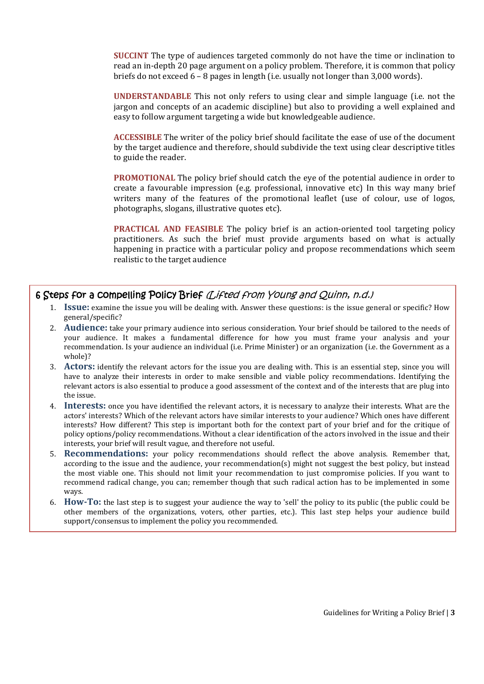**SUCCINT** The type of audiences targeted commonly do not have the time or inclination to read an in-depth 20 page argument on a policy problem. Therefore, it is common that policy briefs do not exceed 6 – 8 pages in length (i.e. usually not longer than 3,000 words).

**UNDERSTANDABLE** This not only refers to using clear and simple language (i.e. not the jargon and concepts of an academic discipline) but also to providing a well explained and easy to follow argument targeting a wide but knowledgeable audience.

**ACCESSIBLE** The writer of the policy brief should facilitate the ease of use of the document by the target audience and therefore, should subdivide the text using clear descriptive titles to guide the reader.

**PROMOTIONAL** The policy brief should catch the eye of the potential audience in order to create a favourable impression (e.g. professional, innovative etc) In this way many brief writers many of the features of the promotional leaflet (use of colour, use of logos, photographs, slogans, illustrative quotes etc).

**PRACTICAL AND FEASIBLE** The policy brief is an action-oriented tool targeting policy practitioners. As such the brief must provide arguments based on what is actually happening in practice with a particular policy and propose recommendations which seem realistic to the target audience

# 6 Steps for a compelling Policy Brief (Lifted from Young and Quinn, n.d.)

- 1. **Issue:** examine the issue you will be dealing with. Answer these questions: is the issue general or specific? How general/specific?
- 2. **Audience:** take your primary audience into serious consideration. Your brief should be tailored to the needs of your audience. It makes a fundamental difference for how you must frame your analysis and your recommendation. Is your audience an individual (i.e. Prime Minister) or an organization (i.e. the Government as a whole)?
- 3. **Actors:** identify the relevant actors for the issue you are dealing with. This is an essential step, since you will have to analyze their interests in order to make sensible and viable policy recommendations. Identifying the relevant actors is also essential to produce a good assessment of the context and of the interests that are plug into the issue.
- 4. **Interests:** once you have identified the relevant actors, it is necessary to analyze their interests. What are the actors' interests? Which of the relevant actors have similar interests to your audience? Which ones have different interests? How different? This step is important both for the context part of your brief and for the critique of policy options/policy recommendations. Without a clear identification of the actors involved in the issue and their interests, your brief will result vague, and therefore not useful.
- 5. **Recommendations:** your policy recommendations should reflect the above analysis. Remember that, according to the issue and the audience, your recommendation(s) might not suggest the best policy, but instead the most viable one. This should not limit your recommendation to just compromise policies. If you want to recommend radical change, you can; remember though that such radical action has to be implemented in some ways.
- 6. **How-To:** the last step is to suggest your audience the way to 'sell' the policy to its public (the public could be other members of the organizations, voters, other parties, etc.). This last step helps your audience build support/consensus to implement the policy you recommended.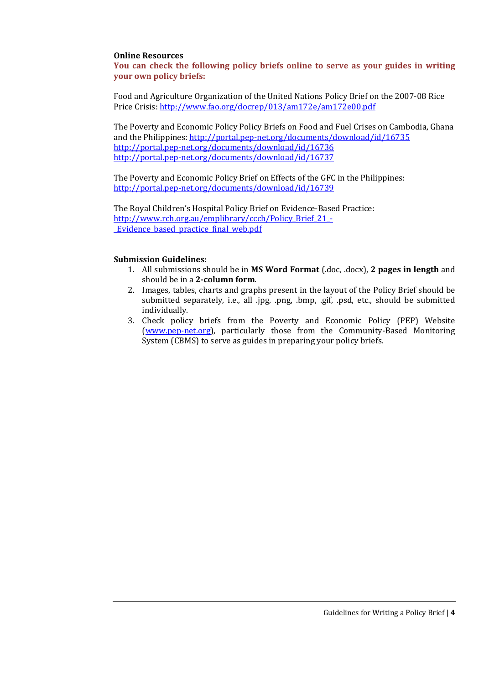## **Online Resources**

**You can check the following policy briefs online to serve as your guides in writing your own policy briefs:** 

Food and Agriculture Organization of the United Nations Policy Brief on the 2007-08 Rice Price Crisis: http://www.fao.org/docrep/013/am172e/am172e00.pdf

The Poverty and Economic Policy Policy Briefs on Food and Fuel Crises on Cambodia, Ghana and the Philippines: http://portal.pep-net.org/documents/download/id/16735 http://portal.pep-net.org/documents/download/id/16736 http://portal.pep-net.org/documents/download/id/16737

The Poverty and Economic Policy Brief on Effects of the GFC in the Philippines: http://portal.pep-net.org/documents/download/id/16739

The Royal Children's Hospital Policy Brief on Evidence-Based Practice: http://www.rch.org.au/emplibrary/ccch/Policy\_Brief\_21\_- \_Evidence\_based\_practice\_final\_web.pdf

#### **Submission Guidelines:**

- 1. All submissions should be in **MS Word Format** (.doc, .docx), **2 pages in length** and should be in a **2-column form**.
- 2. Images, tables, charts and graphs present in the layout of the Policy Brief should be submitted separately, i.e., all .jpg, .png, .bmp, .gif, .psd, etc., should be submitted individually.
- 3. Check policy briefs from the Poverty and Economic Policy (PEP) Website (www.pep-net.org), particularly those from the Community-Based Monitoring System (CBMS) to serve as guides in preparing your policy briefs.